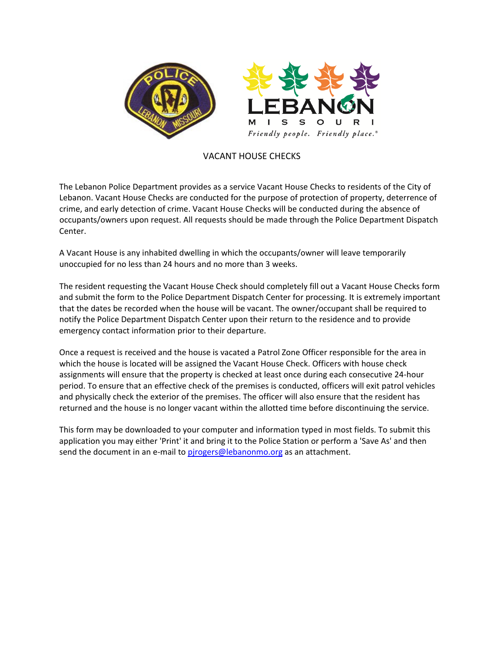

VACANT HOUSE CHECKS

The Lebanon Police Department provides as a service Vacant House Checks to residents of the City of Lebanon. Vacant House Checks are conducted for the purpose of protection of property, deterrence of crime, and early detection of crime. Vacant House Checks will be conducted during the absence of occupants/owners upon request. All requests should be made through the Police Department Dispatch Center.

A Vacant House is any inhabited dwelling in which the occupants/owner will leave temporarily unoccupied for no less than 24 hours and no more than 3 weeks.

The resident requesting the Vacant House Check should completely fill out a Vacant House Checks form and submit the form to the Police Department Dispatch Center for processing. It is extremely important that the dates be recorded when the house will be vacant. The owner/occupant shall be required to notify the Police Department Dispatch Center upon their return to the residence and to provide emergency contact information prior to their departure.

Once a request is received and the house is vacated a Patrol Zone Officer responsible for the area in which the house is located will be assigned the Vacant House Check. Officers with house check assignments will ensure that the property is checked at least once during each consecutive 24‐hour period. To ensure that an effective check of the premises is conducted, officers will exit patrol vehicles and physically check the exterior of the premises. The officer will also ensure that the resident has returned and the house is no longer vacant within the allotted time before discontinuing the service.

This form may be downloaded to your computer and information typed in most fields. To submit this application you may either 'Print' it and bring it to the Police Station or perform a 'Save As' and then send the document in an e-mail to pirogers@lebanonmo.org as an attachment.